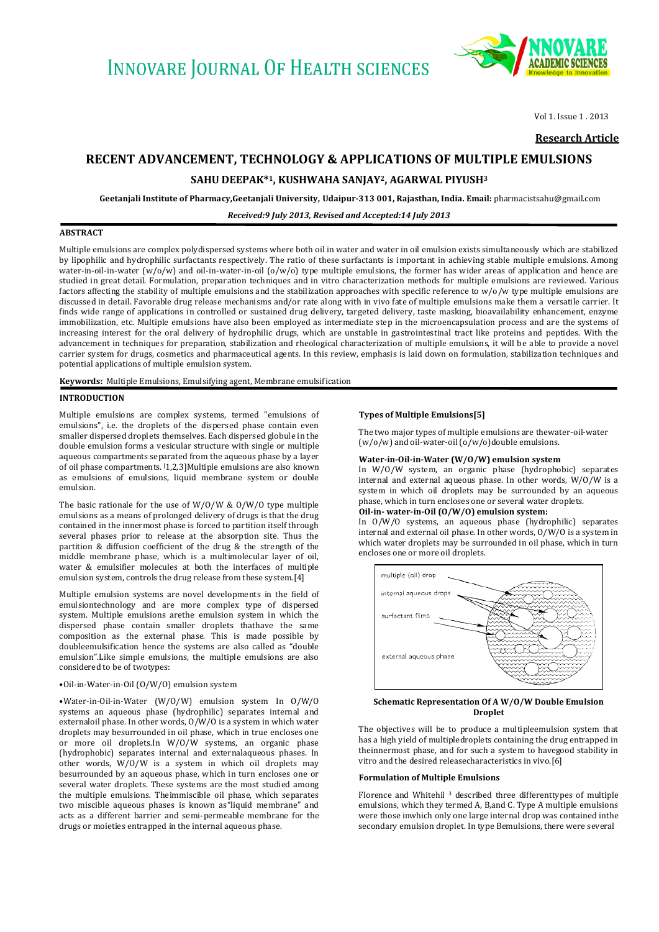

Vol 1, Issue 1 , 2013

**Research Article**

# **RECENT ADVANCEMENT, TECHNOLOGY & APPLICATIONS OF MULTIPLE EMULSIONS**

**Geetanjali Institute of Pharmacy,Geetanjali University, Udaipur-313 001, Rajasthan, India. Email:** pharmacistsahu@gmail.com

*Received:9 July 2013, Revised and Accepted:14 July 2013*

## **ABSTRACT**

Multiple emulsions are complex polydispersed systems where both oil in water and water in oil emulsion exists simultaneously which are stabilized by lipophilic and hydrophilic surfactants respectively. The ratio of these surfactants is important in achieving stable multiple emulsions. Among water-in-oil-in-water (w/o/w) and oil-in-water-in-oil (o/w/o) type multiple emulsions, the former has wider areas of application and hence are studied in great detail. Formulation, preparation techniques and in vitro characterization methods for multiple emulsions are reviewed. Various factors affecting the stability of multiple emulsions and the stabilization approaches with specific reference to  $w/o/w$  type multiple emulsions are discussed in detail. Favorable drug release mechanisms and/or rate along with in vivo fate of multiple emulsions make them a versatile carrier. It finds wide range of applications in controlled or sustained drug delivery, targeted delivery, taste masking, bioavailability enhancement, enzyme immobilization, etc. Multiple emulsions have also been employed as intermediate step in the microencapsulation process and are the systems of increasing interest for the oral delivery of hydrophilic drugs, which are unstable in gastrointestinal tract like proteins and peptides. With the advancement in techniques for preparation, stabilization and rheological characterization of multiple emulsions, it will be able to provide a novel carrier system for drugs, cosmetics and pharmaceutical agents. In this review, emphasis is laid down on formulation, stabilization techniques and potential applications of multiple emulsion system.

**Keywords:** Multiple Emulsions, Emulsifying agent, Membrane emulsification

#### **INTRODUCTION**

Multiple emulsions are complex systems, termed "emulsions of emulsions", i.e. the droplets of the dispersed phase contain even smaller dispersed droplets themselves. Each dispersed globule in the double emulsion forms a vesicular structure with single or multiple aqueous compartments separated from the aqueous phase by a layer of oil phase compartments. [1,2,3]Multiple emulsions are also known as emulsions of emulsions, liquid membrane system or double emulsion.

The basic rationale for the use of  $W/0/W$  &  $0/W/0$  type multiple emulsions as a means of prolonged delivery of drugs is that the drug contained in the innermost phase is forced to partition itself through several phases prior to release at the absorption site. Thus the partition & diffusion coefficient of the drug & the strength of the middle membrane phase, which is a multimolecular layer of oil, water & emulsifier molecules at both the interfaces of multiple emulsion system, controls the drug release from these system.[4]

Multiple emulsion systems are novel developments in the field of emulsiontechnology and are more complex type of dispersed system. Multiple emulsions arethe emulsion system in which the dispersed phase contain smaller droplets thathave the same composition as the external phase. This is made possible by doubleemulsification hence the systems are also called as "double emulsion".Like simple emulsions, the multiple emulsions are also considered to be of twotypes:

## •Oil-in-Water-in-Oil (O/W/O) emulsion system

•Water-in-Oil-in-Water (W/O/W) emulsion system In O/W/O systems an aqueous phase (hydrophilic) separates internal and externaloil phase. In other words, O/W/O is a system in which water droplets may besurrounded in oil phase, which in true encloses one or more oil droplets.In W/O/W systems, an organic phase (hydrophobic) separates internal and externalaqueous phases. In other words, W/O/W is a system in which oil droplets may besurrounded by an aqueous phase, which in turn encloses one or several water droplets. These systems are the most studied among the multiple emulsions. Theimmiscible oil phase, which separates two miscible aqueous phases is known as"liquid membrane" and acts as a different barrier and semi-permeable membrane for the drugs or moieties entrapped in the internal aqueous phase.

#### **Types of Multiple Emulsions[5]**

The two major types of multiple emulsions are thewater-oil-water (w/o/w) and oil-water-oil (o/w/o)double emulsions.

## **Water-in-Oil-in-Water (W/O/W) emulsion system**

In W/O/W system, an organic phase (hydrophobic) separates internal and external aqueous phase. In other words, W/O/W is a system in which oil droplets may be surrounded by an aqueous phase, which in turn encloses one or several water droplets.

## **Oil-in- water-in-Oil (O/W/O) emulsion system:**

In O/W/O systems, an aqueous phase (hydrophilic) separates internal and external oil phase. In other words, O/W/O is a system in which water droplets may be surrounded in oil phase, which in turn encloses one or more oil droplets.



#### **Schematic Representation Of A W/O/W Double Emulsion Droplet**

The objectives will be to produce a multipleemulsion system that has a high yield of multipledroplets containing the drug entrapped in theinnermost phase, and for such a system to havegood stability in vitro and the desired releasecharacteristics in vivo.[6]

#### **Formulation of Multiple Emulsions**

Florence and Whitehil <sup>3</sup> described three differenttypes of multiple emulsions, which they termed A, B,and C. Type A multiple emulsions were those inwhich only one large internal drop was contained inthe secondary emulsion droplet. In type Bemulsions, there were several

**SAHU DEEPAK\*1, KUSHWAHA SANJAY2, AGARWAL PIYUSH<sup>3</sup>**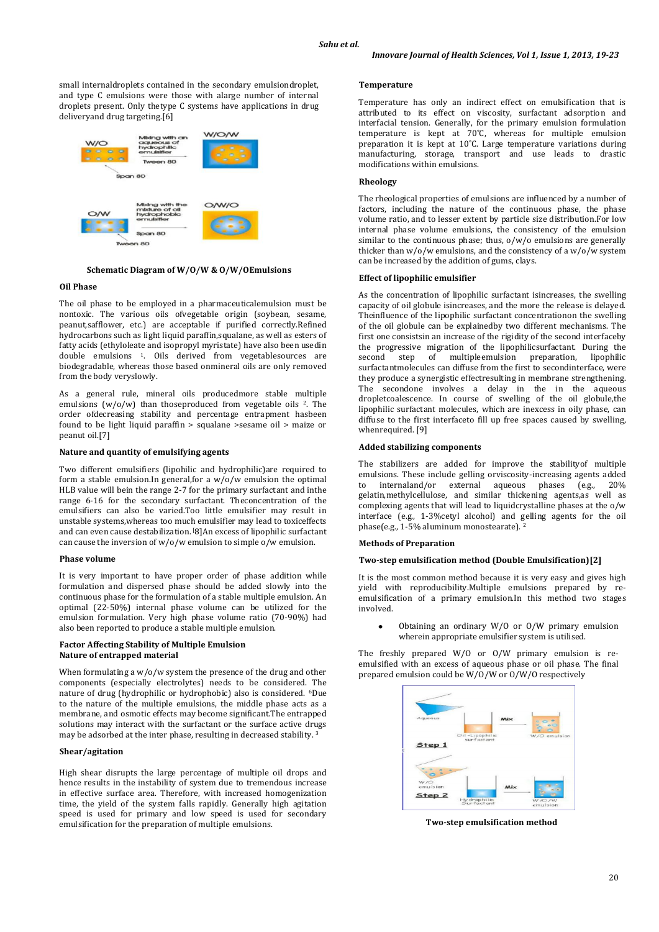small internaldroplets contained in the secondary emulsiondroplet, and type C emulsions were those with alarge number of internal droplets present. Only thetype C systems have applications in drug deliveryand drug targeting.[6]



**Schematic Diagram of W/O/W & O/W/OEmulsions**

## **Oil Phase**

The oil phase to be employed in a pharmaceuticalemulsion must be nontoxic. The various oils ofvegetable origin (sovbean, sesame, peanut,safflower, etc.) are acceptable if purified correctly.Refined hydrocarbons such as light liquid paraffin,squalane, as well as esters of fatty acids (ethyloleate and isopropyl myristate) have also been usedin double emulsions 1. Oils derived from vegetablesources are biodegradable, whereas those based onmineral oils are only removed from the body veryslowly.

As a general rule, mineral oils producedmore stable multiple emulsions  $(w/o/w)$  than thoseproduced from vegetable oils <sup>2</sup>. The order ofdecreasing stability and percentage entrapment hasbeen found to be light liquid paraffin > squalane >sesame oil > maize or peanut oil.[7]

### **Nature and quantity of emulsifying agents**

Two different emulsifiers (lipohilic and hydrophilic)are required to form a stable emulsion.In general,for a w/o/w emulsion the optimal HLB value will bein the range 2-7 for the primary surfactant and inthe range 6-16 for the secondary surfactant. Theconcentration of the emulsifiers can also be varied.Too little emulsifier may result in unstable systems,whereas too much emulsifier may lead to toxiceffects and can even cause destabilization. [8]An excess of lipophilic surfactant can cause the inversion of w/o/w emulsion to simple o/w emulsion.

#### **Phase volume**

It is very important to have proper order of phase addition while formulation and dispersed phase should be added slowly into the continuous phase for the formulation of a stable multiple emulsion. An optimal (22-50%) internal phase volume can be utilized for the emulsion formulation. Very high phase volume ratio (70-90%) had also been reported to produce a stable multiple emulsion.

#### **Factor Affecting Stability of Multiple Emulsion Nature of entrapped material**

When formulating a w/o/w system the presence of the drug and other components (especially electrolytes) needs to be considered. The nature of drug (hydrophilic or hydrophobic) also is considered. 6Due to the nature of the multiple emulsions, the middle phase acts as a membrane, and osmotic effects may become significant.The entrapped solutions may interact with the surfactant or the surface active drugs may be adsorbed at the inter phase, resulting in decreased stability. <sup>3</sup>

## **Shear/agitation**

High shear disrupts the large percentage of multiple oil drops and hence results in the instability of system due to tremendous increase in effective surface area. Therefore, with increased homogenization time, the yield of the system falls rapidly. Generally high agitation speed is used for primary and low speed is used for secondary emulsification for the preparation of multiple emulsions.

#### **Temperature**

Temperature has only an indirect effect on emulsification that is attributed to its effect on viscosity, surfactant adsorption and interfacial tension. Generally, for the primary emulsion formulation temperature is kept at 70˚C, whereas for multiple emulsion preparation it is kept at 10˚C. Large temperature variations during manufacturing, storage, transport and use leads to drastic modifications within emulsions.

#### **Rheology**

The rheological properties of emulsions are influenced by a number of factors, including the nature of the continuous phase, the phase volume ratio, and to lesser extent by particle size distribution.For low internal phase volume emulsions, the consistency of the emulsion similar to the continuous phase; thus,  $o/w/o$  emulsions are generally thicker than w/o/w emulsions, and the consistency of a w/o/w system can be increased by the addition of gums, clays.

## **Effect of lipophilic emulsifier**

As the concentration of lipophilic surfactant isincreases, the swelling capacity of oil globule isincreases, and the more the release is delayed. Theinfluence of the lipophilic surfactant concentrationon the swelling of the oil globule can be explainedby two different mechanisms. The first one consistsin an increase of the rigidity of the second interfaceby the progressive migration of the lipophilicsurfactant. During the second step of multipleemulsion preparation, lipophilic surfactantmolecules can diffuse from the first to secondinterface, were they produce a synergistic effectresulting in membrane strengthening. The secondone involves a delay in the in the aqueous dropletcoalescence. In course of swelling of the oil globule,the lipophilic surfactant molecules, which are inexcess in oily phase, can diffuse to the first interfaceto fill up free spaces caused by swelling, whenrequired. [9]

## **Added stabilizing components**

The stabilizers are added for improve the stabilityof multiple emulsions. These include gelling orviscosity-increasing agents added to internaland/or external aqueous phases (e.g., 20% gelatin,methylcellulose, and similar thickening agents,as well as complexing agents that will lead to liquidcrystalline phases at the o/w interface (e.g., 1-3%cetyl alcohol) and gelling agents for the oil phase(e.g., 1-5% aluminum monostearate). <sup>2</sup>

#### **Methods of Preparation**

### **Two-step emulsification method (Double Emulsification)[2]**

It is the most common method because it is very easy and gives high yield with reproducibility.Multiple emulsions prepared by reemulsification of a primary emulsion.In this method two stages involved.

Obtaining an ordinary W/O or O/W primary emulsion  $\bullet$ wherein appropriate emulsifier system is utilised.

The freshly prepared W/O or O/W primary emulsion is reemulsified with an excess of aqueous phase or oil phase. The final prepared emulsion could be W/O/W or O/W/O respectively



 **Two-step emulsification method**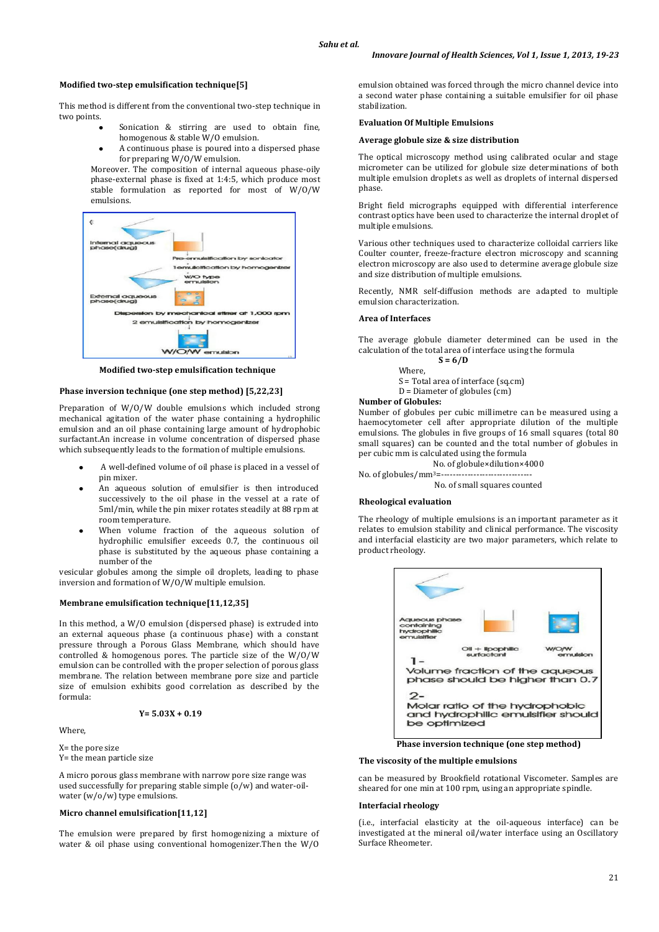## **Modified two-step emulsification technique[5]**

This method is different from the conventional two-step technique in two points.

- Sonication & stirring are used to obtain fine, homogenous & stable W/O emulsion.
- A continuous phase is poured into a dispersed phase for preparing W/O/W emulsion.

Moreover. The composition of internal aqueous phase-oily phase-external phase is fixed at 1:4:5, which produce most stable formulation as reported for most of W/O/W emulsions.



**Modified two-step emulsification technique**

## **Phase inversion technique (one step method) [5,22,23]**

Preparation of W/O/W double emulsions which included strong mechanical agitation of the water phase containing a hydrophilic emulsion and an oil phase containing large amount of hydrophobic surfactant.An increase in volume concentration of dispersed phase which subsequently leads to the formation of multiple emulsions.

- A well-defined volume of oil phase is placed in a vessel of pin mixer.
- An aqueous solution of emulsifier is then introduced successively to the oil phase in the vessel at a rate of 5ml/min, while the pin mixer rotates steadily at 88 rpm at room temperature.
- When volume fraction of the aqueous solution of hydrophilic emulsifier exceeds 0.7, the continuous oil phase is substituted by the aqueous phase containing a number of the

vesicular globules among the simple oil droplets, leading to phase inversion and formation of W/O/W multiple emulsion.

#### **Membrane emulsification technique[11,12,35]**

In this method, a W/O emulsion (dispersed phase) is extruded into an external aqueous phase (a continuous phase) with a constant pressure through a Porous Glass Membrane, which should have controlled & homogenous pores. The particle size of the W/O/W emulsion can be controlled with the proper selection of porous glass membrane. The relation between membrane pore size and particle size of emulsion exhibits good correlation as described by the formula:

$$
Y = 5.03X + 0.19
$$

Where,

X= the pore size Y= the mean particle size

A micro porous glass membrane with narrow pore size range was used successfully for preparing stable simple (o/w) and water-oilwater (w/o/w) type emulsions.

## **Micro channel emulsification[11,12]**

The emulsion were prepared by first homogenizing a mixture of water & oil phase using conventional homogenizer.Then the W/O

emulsion obtained was forced through the micro channel device into a second water phase containing a suitable emulsifier for oil phase stabilization.

#### **Evaluation Of Multiple Emulsions**

#### **Average globule size & size distribution**

The optical microscopy method using calibrated ocular and stage micrometer can be utilized for globule size determinations of both multiple emulsion droplets as well as droplets of internal dispersed phase.

Bright field micrographs equipped with differential interference contrast optics have been used to characterize the internal droplet of multiple emulsions.

Various other techniques used to characterize colloidal carriers like Coulter counter, freeze-fracture electron microscopy and scanning electron microscopy are also used to determine average globule size and size distribution of multiple emulsions.

Recently, NMR self-diffusion methods are adapted to multiple emulsion characterization.

#### **Area of Interfaces**

The average globule diameter determined can be used in the calculation of the total area of interface using the formula

**S = 6/D** Where, S = Total area of interface (sq.cm) D = Diameter of globules (cm)

#### **Number of Globules:**

Number of globules per cubic millimetre can be measured using a haemocytometer cell after appropriate dilution of the multiple emulsions. The globules in five groups of 16 small squares (total 80) small squares) can be counted and the total number of globules in per cubic mm is calculated using the formula

No. of globule×dilution×4000

No. of globules/mm<sup>3</sup>=---

No. of small squares counted

#### **Rheological evaluation**

The rheology of multiple emulsions is an important parameter as it relates to emulsion stability and clinical performance. The viscosity and interfacial elasticity are two major parameters, which relate to product rheology.



**Phase inversion technique (one step method)**

#### **The viscosity of the multiple emulsions**

can be measured by Brookfield rotational Viscometer. Samples are sheared for one min at 100 rpm, using an appropriate spindle.

#### **Interfacial rheology**

(i.e., interfacial elasticity at the oil-aqueous interface) can be investigated at the mineral oil/water interface using an Oscillatory Surface Rheometer.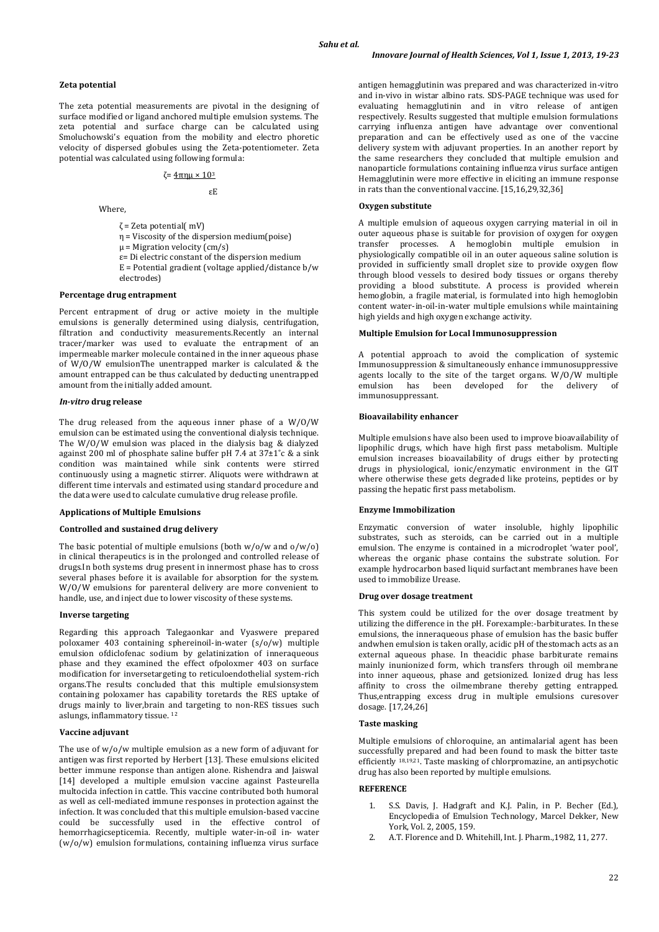**Zeta potential**

The zeta potential measurements are pivotal in the designing of surface modified or ligand anchored multiple emulsion systems. The zeta potential and surface charge can be calculated using Smoluchowski's equation from the mobility and electro phoretic velocity of dispersed globules using the Zeta-potentiometer. Zeta potential was calculated using following formula:

## ζ=  $4πnμ \times 10<sup>3</sup>$

## εE

Where,

- ζ = Zeta potential( mV)
- η = Viscosity of the dispersion medium(poise)
- $\mu$  = Migration velocity (cm/s)
- ε= Di electric constant of the dispersion medium
- $E =$  Potential gradient (voltage applied/distance b/w electrodes)

## **Percentage drug entrapment**

Percent entrapment of drug or active moiety in the multiple emulsions is generally determined using dialysis, centrifugation, filtration and conductivity measurements.Recently an internal tracer/marker was used to evaluate the entrapment of an impermeable marker molecule contained in the inner aqueous phase of W/O/W emulsionThe unentrapped marker is calculated & the amount entrapped can be thus calculated by deducting unentrapped amount from the initially added amount.

#### *In-vitro* **drug release**

The drug released from the aqueous inner phase of a W/O/W emulsion can be estimated using the conventional dialysis technique. The W/O/W emulsion was placed in the dialysis bag & dialyzed against 200 ml of phosphate saline buffer pH 7.4 at  $37\pm1^\circ$ c & a sink condition was maintained while sink contents were stirred continuously using a magnetic stirrer. Aliquots were withdrawn at different time intervals and estimated using standard procedure and the data were used to calculate cumulative drug release profile.

#### **Applications of Multiple Emulsions**

## **Controlled and sustained drug delivery**

The basic potential of multiple emulsions (both  $w/o/w$  and  $o/w/o$ ) in clinical therapeutics is in the prolonged and controlled release of drugs.In both systems drug present in innermost phase has to cross several phases before it is available for absorption for the system. W/O/W emulsions for parenteral delivery are more convenient to handle, use, and inject due to lower viscosity of these systems.

#### **Inverse targeting**

Regarding this approach Talegaonkar and Vyaswere prepared poloxamer 403 containing sphereinoil-in-water (s/o/w) multiple emulsion ofdiclofenac sodium by gelatinization of inneraqueous phase and they examined the effect ofpoloxmer 403 on surface modification for inversetargeting to reticuloendothelial system-rich organs.The results concluded that this multiple emulsionsystem containing poloxamer has capability toretards the RES uptake of drugs mainly to liver,brain and targeting to non-RES tissues such aslungs, inflammatory tissue. <sup>12</sup>

#### **Vaccine adjuvant**

The use of w/o/w multiple emulsion as a new form of adjuvant for antigen was first reported by Herbert [13]. These emulsions elicited better immune response than antigen alone. Rishendra and Jaiswal [14] developed a multiple emulsion vaccine against Pasteurella multocida infection in cattle. This vaccine contributed both humoral as well as cell-mediated immune responses in protection against the infection. It was concluded that this multiple emulsion-based vaccine could be successfully used in the effective control of hemorrhagicsepticemia. Recently, multiple water-in-oil in- water (w/o/w) emulsion formulations, containing influenza virus surface

antigen hemagglutinin was prepared and was characterized in-vitro and in-vivo in wistar albino rats. SDS-PAGE technique was used for evaluating hemagglutinin and in vitro release of antigen respectively. Results suggested that multiple emulsion formulations carrying influenza antigen have advantage over conventional preparation and can be effectively used as one of the vaccine delivery system with adjuvant properties. In an another report by the same researchers they concluded that multiple emulsion and nanoparticle formulations containing influenza virus surface antigen Hemagglutinin were more effective in eliciting an immune response in rats than the conventional vaccine. [15,16,29,32,36]

### **Oxygen substitute**

A multiple emulsion of aqueous oxygen carrying material in oil in outer aqueous phase is suitable for provision of oxygen for oxygen transfer processes. A hemoglobin multiple emulsion in physiologically compatible oil in an outer aqueous saline solution is provided in sufficiently small droplet size to provide oxygen flow through blood vessels to desired body tissues or organs thereby providing a blood substitute. A process is provided wherein hemoglobin, a fragile material, is formulated into high hemoglobin content water-in-oil-in-water multiple emulsions while maintaining high yields and high oxygen exchange activity.

#### **Multiple Emulsion for Local Immunosuppression**

A potential approach to avoid the complication of systemic Immunosuppression & simultaneously enhance immunosuppressive agents locally to the site of the target organs. W/O/W multiple emulsion has been developed for the delivery of immunosuppressant.

## **Bioavailability enhancer**

Multiple emulsions have also been used to improve bioavailability of lipophilic drugs, which have high first pass metabolism. Multiple emulsion increases bioavailability of drugs either by protecting drugs in physiological, ionic/enzymatic environment in the GIT where otherwise these gets degraded like proteins, peptides or by passing the hepatic first pass metabolism.

#### **Enzyme Immobilization**

Enzymatic conversion of water insoluble, highly lipophilic substrates, such as steroids, can be carried out in a multiple emulsion. The enzyme is contained in a microdroplet 'water pool', whereas the organic phase contains the substrate solution. For example hydrocarbon based liquid surfactant membranes have been used to immobilize Urease.

#### **Drug over dosage treatment**

This system could be utilized for the over dosage treatment by utilizing the difference in the pH. Forexample:-barbiturates. In these emulsions, the inneraqueous phase of emulsion has the basic buffer andwhen emulsion is taken orally, acidic pH of thestomach acts as an external aqueous phase. In theacidic phase barbiturate remains mainly inunionized form, which transfers through oil membrane into inner aqueous, phase and getsionized. Ionized drug has less affinity to cross the oilmembrane thereby getting entrapped. Thus,entrapping excess drug in multiple emulsions curesover dosage. [17,24,26]

## **Taste masking**

Multiple emulsions of chloroquine, an antimalarial agent has been successfully prepared and had been found to mask the bitter taste efficiently  $18,19,21$ . Taste masking of chlorpromazine, an antipsychotic drug has also been reported by multiple emulsions.

#### **REFERENCE**

- 1. S.S. Davis, J. Hadgraft and K.J. Palin, in P. Becher (Ed.), Encyclopedia of Emulsion Technology, Marcel Dekker, New York, Vol. 2, 2005, 159.
- 2. A.T. Florence and D. Whitehill, Int. J. Pharm.,1982, 11, 277.